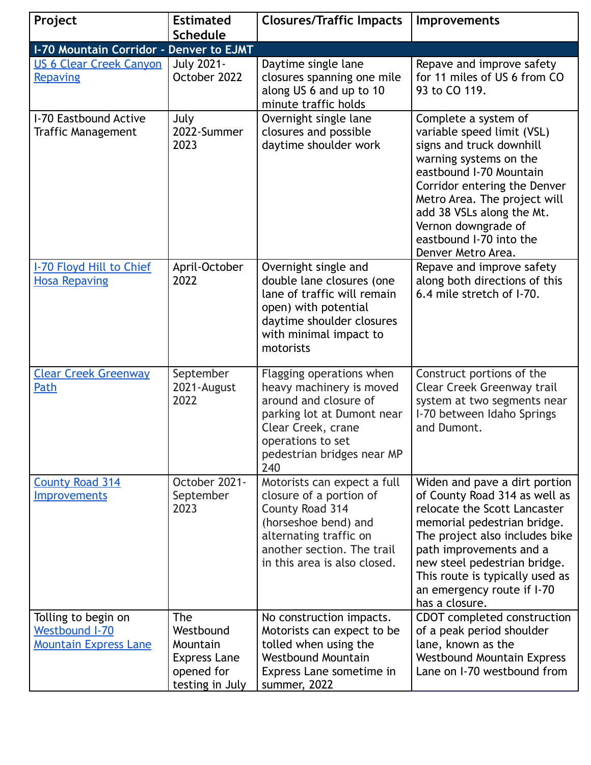| Project                                                               | <b>Estimated</b><br><b>Schedule</b>                                                  | <b>Closures/Traffic Impacts</b>                                                                                                                                                             | <b>Improvements</b>                                                                                                                                                                                                                                                                                           |
|-----------------------------------------------------------------------|--------------------------------------------------------------------------------------|---------------------------------------------------------------------------------------------------------------------------------------------------------------------------------------------|---------------------------------------------------------------------------------------------------------------------------------------------------------------------------------------------------------------------------------------------------------------------------------------------------------------|
| I-70 Mountain Corridor - Denver to EJMT                               |                                                                                      |                                                                                                                                                                                             |                                                                                                                                                                                                                                                                                                               |
| <b>US 6 Clear Creek Canyon</b>                                        | <b>July 2021-</b>                                                                    | Daytime single lane                                                                                                                                                                         | Repave and improve safety                                                                                                                                                                                                                                                                                     |
| Repaving                                                              | October 2022                                                                         | closures spanning one mile<br>along US 6 and up to 10<br>minute traffic holds                                                                                                               | for 11 miles of US 6 from CO<br>93 to CO 119.                                                                                                                                                                                                                                                                 |
| I-70 Eastbound Active<br>Traffic Management                           | July<br>2022-Summer<br>2023                                                          | Overnight single lane<br>closures and possible<br>daytime shoulder work                                                                                                                     | Complete a system of<br>variable speed limit (VSL)<br>signs and truck downhill<br>warning systems on the<br>eastbound I-70 Mountain<br>Corridor entering the Denver<br>Metro Area. The project will<br>add 38 VSLs along the Mt.<br>Vernon downgrade of<br>eastbound I-70 into the<br>Denver Metro Area.      |
| <b>I-70 Floyd Hill to Chief</b><br><b>Hosa Repaving</b>               | April-October<br>2022                                                                | Overnight single and<br>double lane closures (one<br>lane of traffic will remain<br>open) with potential<br>daytime shoulder closures<br>with minimal impact to<br>motorists                | Repave and improve safety<br>along both directions of this<br>6.4 mile stretch of I-70.                                                                                                                                                                                                                       |
| <b>Clear Creek Greenway</b><br>Path                                   | September<br>2021-August<br>2022                                                     | Flagging operations when<br>heavy machinery is moved<br>around and closure of<br>parking lot at Dumont near<br>Clear Creek, crane<br>operations to set<br>pedestrian bridges near MP<br>240 | Construct portions of the<br>Clear Creek Greenway trail<br>system at two segments near<br>I-70 between Idaho Springs<br>and Dumont.                                                                                                                                                                           |
| <b>County Road 314</b><br><b>Improvements</b>                         | October 2021-<br>September<br>2023                                                   | Motorists can expect a full<br>closure of a portion of<br>County Road 314<br>(horseshoe bend) and<br>alternating traffic on<br>another section. The trail<br>in this area is also closed.   | Widen and pave a dirt portion<br>of County Road 314 as well as<br>relocate the Scott Lancaster<br>memorial pedestrian bridge.<br>The project also includes bike<br>path improvements and a<br>new steel pedestrian bridge.<br>This route is typically used as<br>an emergency route if I-70<br>has a closure. |
| Tolling to begin on<br>Westbound I-70<br><b>Mountain Express Lane</b> | The<br>Westbound<br>Mountain<br><b>Express Lane</b><br>opened for<br>testing in July | No construction impacts.<br>Motorists can expect to be<br>tolled when using the<br><b>Westbound Mountain</b><br>Express Lane sometime in<br>summer, 2022                                    | CDOT completed construction<br>of a peak period shoulder<br>lane, known as the<br><b>Westbound Mountain Express</b><br>Lane on I-70 westbound from                                                                                                                                                            |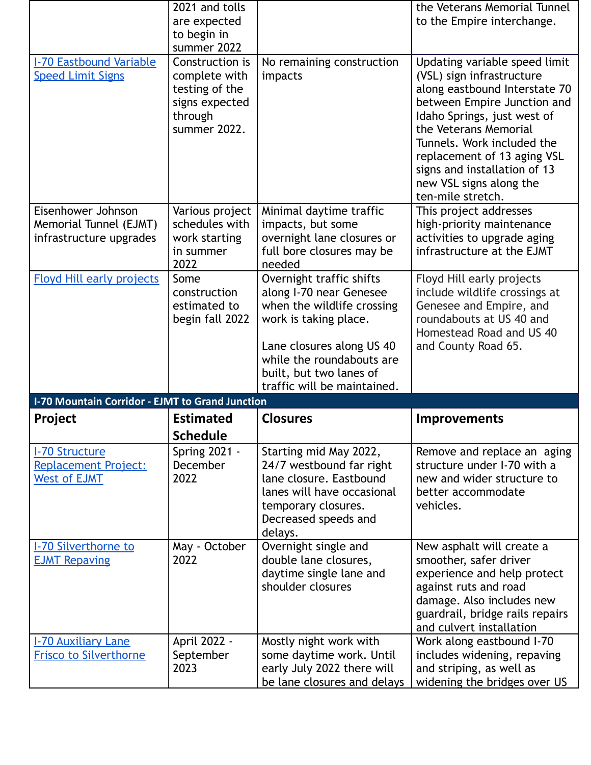|                                                                                   | 2021 and tolls<br>are expected<br>to begin in<br>summer 2022                                    |                                                                                                                                                                                                                                | the Veterans Memorial Tunnel<br>to the Empire interchange.                                                                                                                                                                                                                                                                      |
|-----------------------------------------------------------------------------------|-------------------------------------------------------------------------------------------------|--------------------------------------------------------------------------------------------------------------------------------------------------------------------------------------------------------------------------------|---------------------------------------------------------------------------------------------------------------------------------------------------------------------------------------------------------------------------------------------------------------------------------------------------------------------------------|
| <b>I-70 Eastbound Variable</b><br><b>Speed Limit Signs</b>                        | Construction is<br>complete with<br>testing of the<br>signs expected<br>through<br>summer 2022. | No remaining construction<br>impacts                                                                                                                                                                                           | Updating variable speed limit<br>(VSL) sign infrastructure<br>along eastbound Interstate 70<br>between Empire Junction and<br>Idaho Springs, just west of<br>the Veterans Memorial<br>Tunnels. Work included the<br>replacement of 13 aging VSL<br>signs and installation of 13<br>new VSL signs along the<br>ten-mile stretch. |
| Eisenhower Johnson<br>Memorial Tunnel (EJMT)<br>infrastructure upgrades           | Various project<br>schedules with<br>work starting<br>in summer<br>2022                         | Minimal daytime traffic<br>impacts, but some<br>overnight lane closures or<br>full bore closures may be<br>needed                                                                                                              | This project addresses<br>high-priority maintenance<br>activities to upgrade aging<br>infrastructure at the EJMT                                                                                                                                                                                                                |
| <b>Floyd Hill early projects</b>                                                  | Some<br>construction<br>estimated to<br>begin fall 2022                                         | Overnight traffic shifts<br>along I-70 near Genesee<br>when the wildlife crossing<br>work is taking place.<br>Lane closures along US 40<br>while the roundabouts are<br>built, but two lanes of<br>traffic will be maintained. | Floyd Hill early projects<br>include wildlife crossings at<br>Genesee and Empire, and<br>roundabouts at US 40 and<br>Homestead Road and US 40<br>and County Road 65.                                                                                                                                                            |
| <b>I-70 Mountain Corridor - EJMT to Grand Junction</b>                            |                                                                                                 |                                                                                                                                                                                                                                |                                                                                                                                                                                                                                                                                                                                 |
| Project                                                                           | <b>Estimated</b>                                                                                | <b>Closures</b>                                                                                                                                                                                                                | <b>Improvements</b>                                                                                                                                                                                                                                                                                                             |
|                                                                                   | <b>Schedule</b>                                                                                 |                                                                                                                                                                                                                                |                                                                                                                                                                                                                                                                                                                                 |
| <b>I-70 Structure</b><br>Replacement Project:<br><b>West of EJMT</b>              | <b>Spring 2021 -</b><br>December<br>2022                                                        | Starting mid May 2022,<br>24/7 westbound far right<br>lane closure. Eastbound<br>lanes will have occasional<br>temporary closures.<br>Decreased speeds and<br>delays.                                                          | Remove and replace an aging<br>structure under I-70 with a<br>new and wider structure to<br>better accommodate<br>vehicles.                                                                                                                                                                                                     |
| <b>I-70 Silverthorne to</b><br><b>EJMT Repaving</b><br><b>I-70 Auxiliary Lane</b> | May - October<br>2022<br>April 2022 -                                                           | Overnight single and<br>double lane closures,<br>daytime single lane and<br>shoulder closures<br>Mostly night work with                                                                                                        | New asphalt will create a<br>smoother, safer driver<br>experience and help protect<br>against ruts and road<br>damage. Also includes new<br>guardrail, bridge rails repairs<br>and culvert installation                                                                                                                         |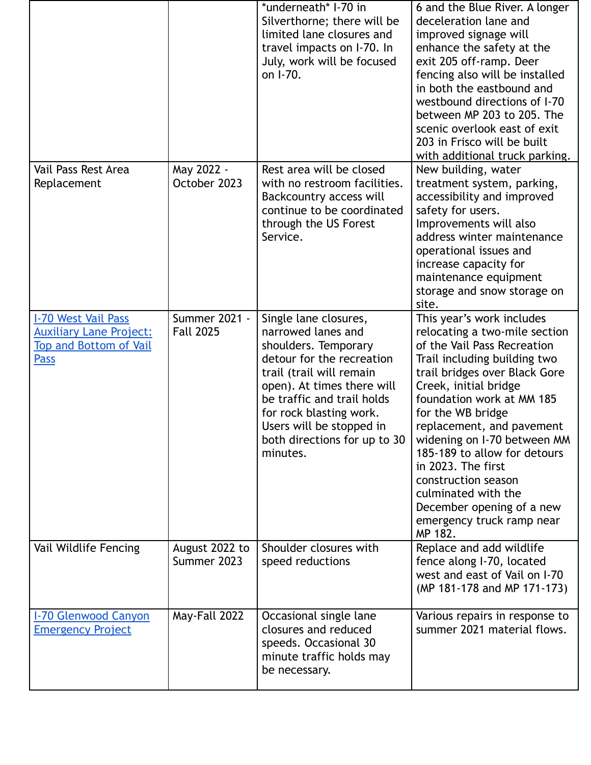|                                                                                                              |                                   | *underneath* I-70 in<br>Silverthorne; there will be<br>limited lane closures and<br>travel impacts on I-70. In<br>July, work will be focused<br>on I-70.                                                                                                                                    | 6 and the Blue River. A longer<br>deceleration lane and<br>improved signage will<br>enhance the safety at the<br>exit 205 off-ramp. Deer<br>fencing also will be installed<br>in both the eastbound and<br>westbound directions of I-70<br>between MP 203 to 205. The<br>scenic overlook east of exit<br>203 in Frisco will be built<br>with additional truck parking.                                                                                                     |
|--------------------------------------------------------------------------------------------------------------|-----------------------------------|---------------------------------------------------------------------------------------------------------------------------------------------------------------------------------------------------------------------------------------------------------------------------------------------|----------------------------------------------------------------------------------------------------------------------------------------------------------------------------------------------------------------------------------------------------------------------------------------------------------------------------------------------------------------------------------------------------------------------------------------------------------------------------|
| Vail Pass Rest Area<br>Replacement                                                                           | May 2022 -<br>October 2023        | Rest area will be closed<br>with no restroom facilities.<br>Backcountry access will<br>continue to be coordinated<br>through the US Forest<br>Service.                                                                                                                                      | New building, water<br>treatment system, parking,<br>accessibility and improved<br>safety for users.<br>Improvements will also<br>address winter maintenance<br>operational issues and<br>increase capacity for<br>maintenance equipment<br>storage and snow storage on<br>site.                                                                                                                                                                                           |
| <b>I-70 West Vail Pass</b><br><b>Auxiliary Lane Project:</b><br><b>Top and Bottom of Vail</b><br><b>Pass</b> | Summer 2021 -<br><b>Fall 2025</b> | Single lane closures,<br>narrowed lanes and<br>shoulders. Temporary<br>detour for the recreation<br>trail (trail will remain<br>open). At times there will<br>be traffic and trail holds<br>for rock blasting work.<br>Users will be stopped in<br>both directions for up to 30<br>minutes. | This year's work includes<br>relocating a two-mile section<br>of the Vail Pass Recreation<br>Trail including building two<br>trail bridges over Black Gore<br>Creek, initial bridge<br>foundation work at MM 185<br>for the WB bridge<br>replacement, and pavement<br>widening on I-70 between MM<br>185-189 to allow for detours<br>in 2023. The first<br>construction season<br>culminated with the<br>December opening of a new<br>emergency truck ramp near<br>MP 182. |
| Vail Wildlife Fencing                                                                                        | August 2022 to<br>Summer 2023     | Shoulder closures with<br>speed reductions                                                                                                                                                                                                                                                  | Replace and add wildlife<br>fence along I-70, located<br>west and east of Vail on I-70<br>(MP 181-178 and MP 171-173)                                                                                                                                                                                                                                                                                                                                                      |
| <b>I-70 Glenwood Canyon</b><br><b>Emergency Project</b>                                                      | May-Fall 2022                     | Occasional single lane<br>closures and reduced<br>speeds. Occasional 30<br>minute traffic holds may<br>be necessary.                                                                                                                                                                        | Various repairs in response to<br>summer 2021 material flows.                                                                                                                                                                                                                                                                                                                                                                                                              |